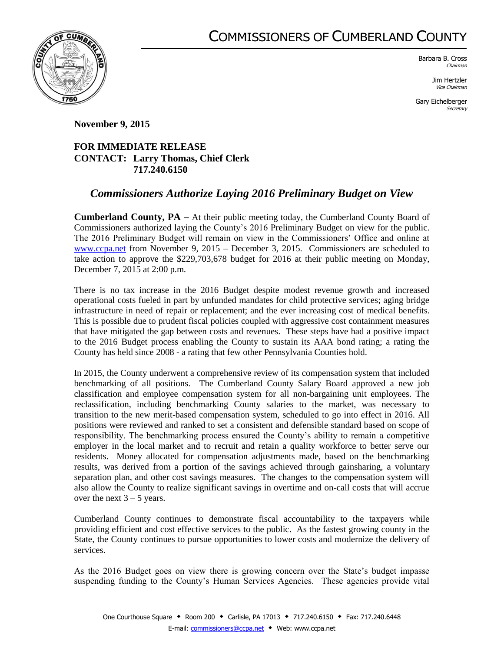## COMMISSIONERS OF CUMBERLAND COUNTY



Barbara B. Cross Chairman

> Jim Hertzler Vice Chairman

Gary Eichelberger **Secretary** 

**November 9, 2015**

## **FOR IMMEDIATE RELEASE CONTACT: Larry Thomas, Chief Clerk 717.240.6150**

## *Commissioners Authorize Laying 2016 Preliminary Budget on View*

**Cumberland County, PA –** At their public meeting today, the Cumberland County Board of Commissioners authorized laying the County's 2016 Preliminary Budget on view for the public. The 2016 Preliminary Budget will remain on view in the Commissioners' Office and online at [www.ccpa.net](http://www.ccpa.net/) from November 9, 2015 – December 3, 2015. Commissioners are scheduled to take action to approve the \$229,703,678 budget for 2016 at their public meeting on Monday, December 7, 2015 at 2:00 p.m.

There is no tax increase in the 2016 Budget despite modest revenue growth and increased operational costs fueled in part by unfunded mandates for child protective services; aging bridge infrastructure in need of repair or replacement; and the ever increasing cost of medical benefits. This is possible due to prudent fiscal policies coupled with aggressive cost containment measures that have mitigated the gap between costs and revenues. These steps have had a positive impact to the 2016 Budget process enabling the County to sustain its AAA bond rating; a rating the County has held since 2008 - a rating that few other Pennsylvania Counties hold.

In 2015, the County underwent a comprehensive review of its compensation system that included benchmarking of all positions. The Cumberland County Salary Board approved a new job classification and employee compensation system for all non-bargaining unit employees. The reclassification, including benchmarking County salaries to the market, was necessary to transition to the new merit-based compensation system, scheduled to go into effect in 2016. All positions were reviewed and ranked to set a consistent and defensible standard based on scope of responsibility. The benchmarking process ensured the County's ability to remain a competitive employer in the local market and to recruit and retain a quality workforce to better serve our residents. Money allocated for compensation adjustments made, based on the benchmarking results, was derived from a portion of the savings achieved through gainsharing, a voluntary separation plan, and other cost savings measures. The changes to the compensation system will also allow the County to realize significant savings in overtime and on-call costs that will accrue over the next  $3 - 5$  years.

Cumberland County continues to demonstrate fiscal accountability to the taxpayers while providing efficient and cost effective services to the public. As the fastest growing county in the State, the County continues to pursue opportunities to lower costs and modernize the delivery of services.

As the 2016 Budget goes on view there is growing concern over the State's budget impasse suspending funding to the County's Human Services Agencies. These agencies provide vital